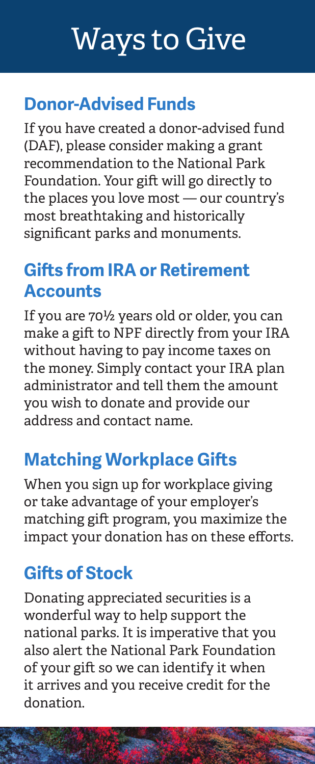# Ways to Give

#### **Donor-Advised Funds**

If you have created a donor-advised fund (DAF), please consider making a grant recommendation to the National Park Foundation. Your gift will go directly to the places you love most — our country's most breathtaking and historically significant parks and monuments.

#### **Gifts from IRA or Retirement Accounts**

If you are 70½ years old or older, you can make a gift to NPF directly from your IRA without having to pay income taxes on the money. Simply contact your IRA plan administrator and tell them the amount you wish to donate and provide our address and contact name.

#### **Matching Workplace Gifts**

When you sign up for workplace giving or take advantage of your employer's matching gift program, you maximize the impact your donation has on these efforts.

### **Gifts of Stock**

Donating appreciated securities is a wonderful way to help support the national parks. It is imperative that you also alert the National Park Foundation of your gift so we can identify it when it arrives and you receive credit for the donation.